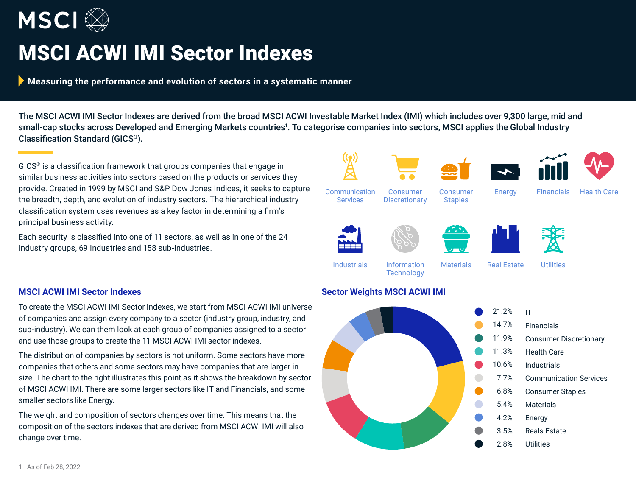

# MSCI ACWI IMI Sector Indexes

**Measuring the performance and evolution of sectors in a systematic manner**

The MSCI ACWI IMI Sector Indexes are derived from the broad MSCI ACWI Investable Market Index (IMI) which includes over 9,300 large, mid and small-cap stocks across Developed and Emerging Markets countries<sup>1</sup>. To categorise companies into sectors, MSCI applies the Global Industry Classification Standard (GICS®).

GICS® is a classification framework that groups companies that engage in similar business activities into sectors based on the products or services they provide. Created in 1999 by MSCI and S&P Dow Jones Indices, it seeks to capture the breadth, depth, and evolution of industry sectors. The hierarchical industry classification system uses revenues as a key factor in determining a firm's principal business activity.

Each security is classified into one of 11 sectors, as well as in one of the 24 Industry groups, 69 Industries and 158 sub-industries.

## **MSCI ACWI IMI Sector Indexes**

To create the MSCI ACWI IMI Sector indexes, we start from MSCI ACWI IMI universe of companies and assign every company to a sector (industry group, industry, and sub-industry). We can them look at each group of companies assigned to a sector and use those groups to create the 11 MSCI ACWI IMI sector indexes.

The distribution of companies by sectors is not uniform. Some sectors have more companies that others and some sectors may have companies that are larger in size. The chart to the right illustrates this point as it shows the breakdown by sector of MSCI ACWI IMI. There are some larger sectors like IT and Financials, and some smaller sectors like Energy.

The weight and composition of sectors changes over time. This means that the composition of the sectors indexes that are derived from MSCI ACWI IMI will also change over time.



## **Sector Weights MSCI ACWI IMI**

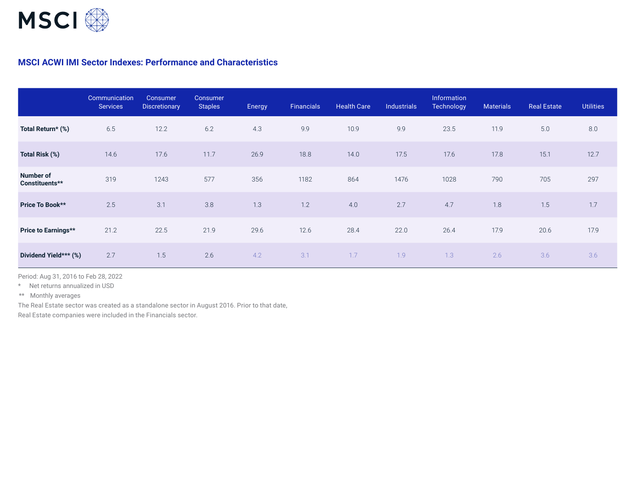

## **MSCI ACWI IMI Sector Indexes: Performance and Characteristics**

|                             | Communication<br><b>Services</b> | Consumer<br><b>Discretionary</b> | Consumer<br><b>Staples</b> | Energy | <b>Financials</b> | <b>Health Care</b> | <b>Industrials</b> | Information<br>Technology | <b>Materials</b> | <b>Real Estate</b> | <b>Utilities</b> |
|-----------------------------|----------------------------------|----------------------------------|----------------------------|--------|-------------------|--------------------|--------------------|---------------------------|------------------|--------------------|------------------|
| Total Return* (%)           | 6.5                              | 12.2                             | 6.2                        | 4.3    | 9.9               | 10.9               | 9.9                | 23.5                      | 11.9             | 5.0                | 8.0              |
| Total Risk (%)              | 14.6                             | 17.6                             | 11.7                       | 26.9   | 18.8              | 14.0               | 17.5               | 17.6                      | 17.8             | 15.1               | 12.7             |
| Number of<br>Constituents** | 319                              | 1243                             | 577                        | 356    | 1182              | 864                | 1476               | 1028                      | 790              | 705                | 297              |
| Price To Book**             | 2.5                              | 3.1                              | 3.8                        | 1.3    | 1.2               | 4.0                | 2.7                | 4.7                       | 1.8              | 1.5                | 1.7              |
| Price to Earnings**         | 21.2                             | 22.5                             | 21.9                       | 29.6   | 12.6              | 28.4               | 22.0               | 26.4                      | 17.9             | 20.6               | 17.9             |
| Dividend Yield*** (%)       | 2.7                              | 1.5                              | 2.6                        | 4.2    | 3.1               | 1.7                | 1.9                | 1.3                       | 2.6              | 3.6                | 3.6              |

Period: Aug 31, 2016 to Feb 28, 2022

\* Net returns annualized in USD

\*\* Monthly averages

The Real Estate sector was created as a standalone sector in August 2016. Prior to that date, Real Estate companies were included in the Financials sector.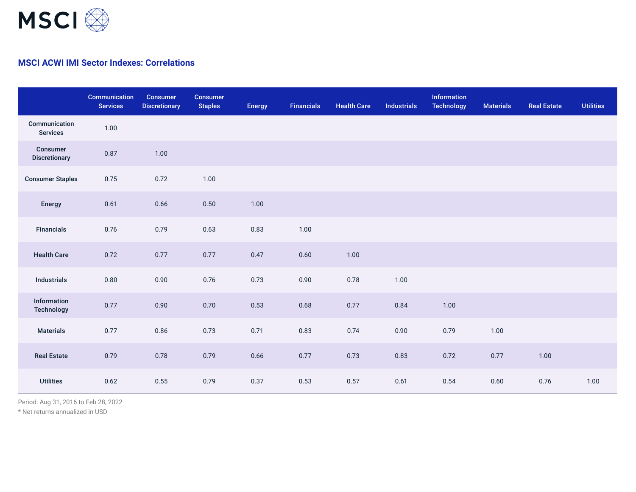

# **MSCI ACWI IMI Sector Indexes: Correlations**

|                                  | Communication<br><b>Services</b> | Consumer<br><b>Discretionary</b> | <b>Consumer</b><br><b>Staples</b> | <b>Energy</b> | <b>Financials</b> | <b>Health Care</b> | <b>Industrials</b> | Information<br><b>Technology</b> | <b>Materials</b> | <b>Real Estate</b> | <b>Utilities</b> |
|----------------------------------|----------------------------------|----------------------------------|-----------------------------------|---------------|-------------------|--------------------|--------------------|----------------------------------|------------------|--------------------|------------------|
| Communication<br><b>Services</b> | 1.00                             |                                  |                                   |               |                   |                    |                    |                                  |                  |                    |                  |
| Consumer<br><b>Discretionary</b> | 0.87                             | 1.00                             |                                   |               |                   |                    |                    |                                  |                  |                    |                  |
| <b>Consumer Staples</b>          | 0.75                             | 0.72                             | 1.00                              |               |                   |                    |                    |                                  |                  |                    |                  |
| Energy                           | 0.61                             | 0.66                             | 0.50                              | 1.00          |                   |                    |                    |                                  |                  |                    |                  |
| <b>Financials</b>                | 0.76                             | 0.79                             | 0.63                              | 0.83          | 1.00              |                    |                    |                                  |                  |                    |                  |
| <b>Health Care</b>               | 0.72                             | 0.77                             | 0.77                              | 0.47          | 0.60              | 1.00               |                    |                                  |                  |                    |                  |
| Industrials                      | 0.80                             | 0.90                             | 0.76                              | 0.73          | 0.90              | 0.78               | 1.00               |                                  |                  |                    |                  |
| Information<br>Technology        | 0.77                             | 0.90                             | 0.70                              | 0.53          | 0.68              | 0.77               | 0.84               | 1.00                             |                  |                    |                  |
| <b>Materials</b>                 | 0.77                             | 0.86                             | 0.73                              | 0.71          | 0.83              | 0.74               | 0.90               | 0.79                             | 1.00             |                    |                  |
| <b>Real Estate</b>               | 0.79                             | 0.78                             | 0.79                              | 0.66          | 0.77              | 0.73               | 0.83               | 0.72                             | 0.77             | 1.00               |                  |
| <b>Utilities</b>                 | 0.62                             | 0.55                             | 0.79                              | 0.37          | 0.53              | 0.57               | 0.61               | 0.54                             | 0.60             | 0.76               | 1.00             |

Period: Aug 31, 2016 to Feb 28, 2022

\* Net returns annualized in USD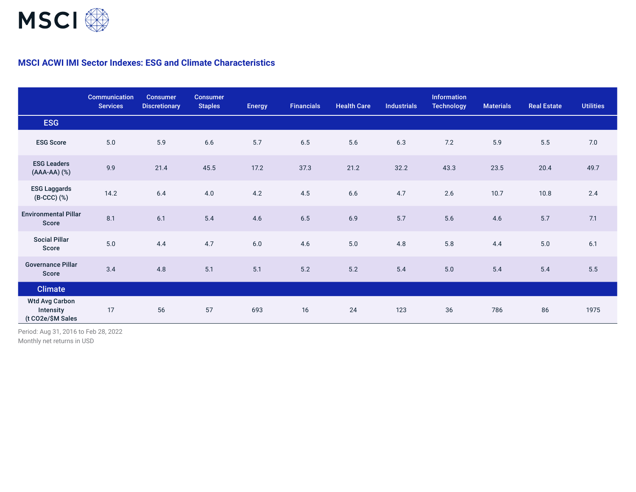

# **MSCI ACWI IMI Sector Indexes: ESG and Climate Characteristics**

|                                                         | Communication<br><b>Services</b> | <b>Consumer</b><br><b>Discretionary</b> | <b>Consumer</b><br><b>Staples</b> | <b>Energy</b> | <b>Financials</b> | <b>Health Care</b> | <b>Industrials</b> | <b>Information</b><br><b>Technology</b> | <b>Materials</b> | <b>Real Estate</b> | <b>Utilities</b> |
|---------------------------------------------------------|----------------------------------|-----------------------------------------|-----------------------------------|---------------|-------------------|--------------------|--------------------|-----------------------------------------|------------------|--------------------|------------------|
| <b>ESG</b>                                              |                                  |                                         |                                   |               |                   |                    |                    |                                         |                  |                    |                  |
| <b>ESG Score</b>                                        | 5.0                              | 5.9                                     | $6.6\,$                           | 5.7           | $6.5\,$           | 5.6                | 6.3                | 7.2                                     | 5.9              | 5.5                | 7.0              |
| <b>ESG Leaders</b><br>(AAA-AA) (%)                      | 9.9                              | 21.4                                    | 45.5                              | 17.2          | 37.3              | 21.2               | 32.2               | 43.3                                    | 23.5             | 20.4               | 49.7             |
| <b>ESG Laggards</b><br>(B-CCC) (%)                      | 14.2                             | 6.4                                     | 4.0                               | 4.2           | 4.5               | 6.6                | 4.7                | 2.6                                     | 10.7             | 10.8               | 2.4              |
| <b>Environmental Pillar</b><br>Score                    | 8.1                              | 6.1                                     | 5.4                               | 4.6           | $6.5$             | 6.9                | 5.7                | 5.6                                     | 4.6              | 5.7                | 7.1              |
| <b>Social Pillar</b><br>Score                           | 5.0                              | 4.4                                     | 4.7                               | 6.0           | 4.6               | 5.0                | 4.8                | 5.8                                     | 4.4              | 5.0                | 6.1              |
| <b>Governance Pillar</b><br><b>Score</b>                | 3.4                              | 4.8                                     | 5.1                               | 5.1           | $5.2\,$           | $5.2\,$            | 5.4                | $5.0$                                   | 5.4              | $5.4$              | $5.5$            |
| <b>Climate</b>                                          |                                  |                                         |                                   |               |                   |                    |                    |                                         |                  |                    |                  |
| <b>Wtd Avg Carbon</b><br>Intensity<br>(t CO2e/\$M Sales | 17                               | 56                                      | 57                                | 693           | 16                | 24                 | 123                | 36                                      | 786              | 86                 | 1975             |

Period: Aug 31, 2016 to Feb 28, 2022

Monthly net returns in USD